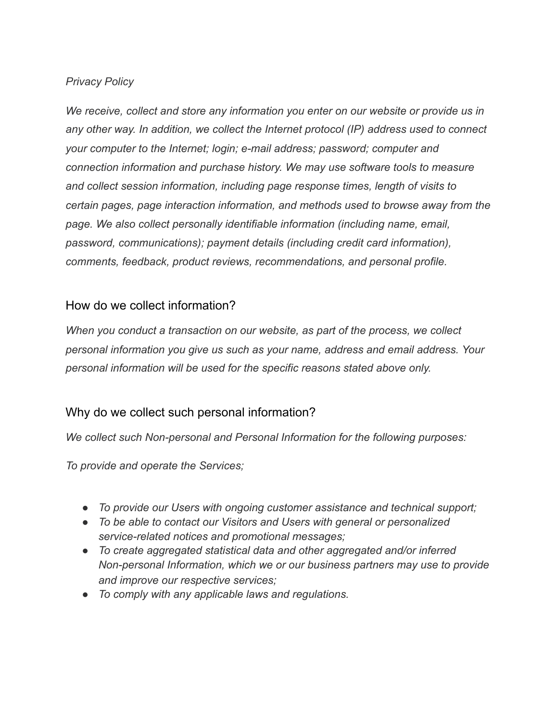#### *Privacy Policy*

*We receive, collect and store any information you enter on our website or provide us in any other way. In addition, we collect the Internet protocol (IP) address used to connect your computer to the Internet; login; e-mail address; password; computer and connection information and purchase history. We may use software tools to measure and collect session information, including page response times, length of visits to certain pages, page interaction information, and methods used to browse away from the page. We also collect personally identifiable information (including name, email, password, communications); payment details (including credit card information), comments, feedback, product reviews, recommendations, and personal profile.* 

### How do we collect information?

*When you conduct a transaction on our website, as part of the process, we collect personal information you give us such as your name, address and email address. Your personal information will be used for the specific reasons stated above only.* 

# Why do we collect such personal information?

*We collect such Non-personal and Personal Information for the following purposes:* 

*To provide and operate the Services;* 

- *To provide our Users with ongoing customer assistance and technical support;*
- *To be able to contact our Visitors and Users with general or personalized service-related notices and promotional messages;*
- *To create aggregated statistical data and other aggregated and/or inferred Non-personal Information, which we or our business partners may use to provide and improve our respective services;*
- *To comply with any applicable laws and regulations.*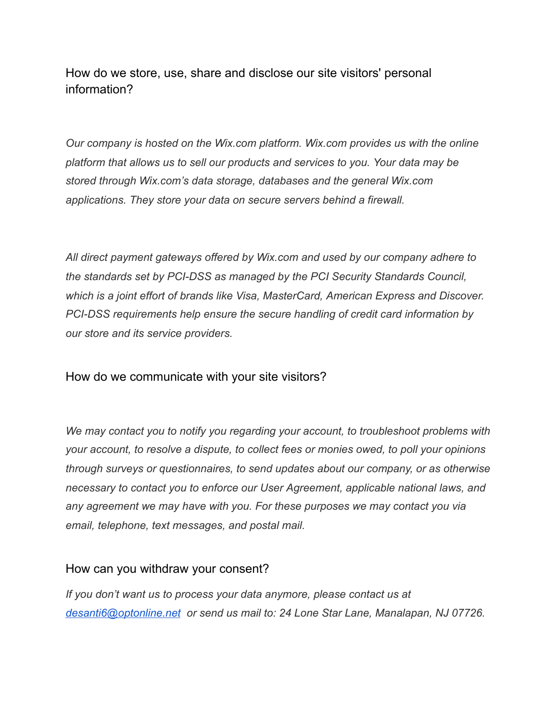How do we store, use, share and disclose our site visitors' personal information?

*Our company is hosted on the Wix.com platform. Wix.com provides us with the online platform that allows us to sell our products and services to you. Your data may be stored through Wix.com's data storage, databases and the general Wix.com applications. They store your data on secure servers behind a firewall.* 

*All direct payment gateways offered by Wix.com and used by our company adhere to the standards set by PCI-DSS as managed by the PCI Security Standards Council, which is a joint effort of brands like Visa, MasterCard, American Express and Discover. PCI-DSS requirements help ensure the secure handling of credit card information by our store and its service providers.* 

How do we communicate with your site visitors?

*We may contact you to notify you regarding your account, to troubleshoot problems with your account, to resolve a dispute, to collect fees or monies owed, to poll your opinions through surveys or questionnaires, to send updates about our company, or as otherwise necessary to contact you to enforce our User Agreement, applicable national laws, and any agreement we may have with you. For these purposes we may contact you via email, telephone, text messages, and postal mail.* 

### How can you withdraw your consent?

*If you don't want us to process your data anymore, please contact us at [desanti6@optonline.net](mailto:desanti6@optonline.net) or send us mail to: 24 Lone Star Lane, Manalapan, NJ 07726.*